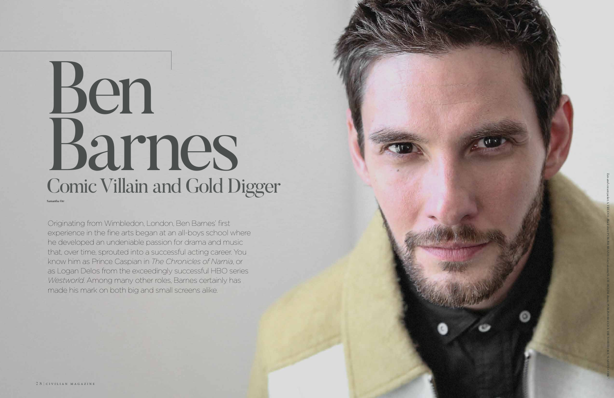

Originating from Wimbledon, London, Ben Barnes' first experience in the fine arts began at an all-boys school where he developed an undeniable passion for drama and music that, over time, sprouted into a successful acting career. You know him as Prince Caspian in *The Chronicles of Narnia*, or as Logan Delos from the exceedingly successful HBO series *Westworld*. Among many other roles, Barnes certainly has made his mark on both big and small screens alike.

## Ben Barnes Comic Villain and Gold Digger Samantha Orr